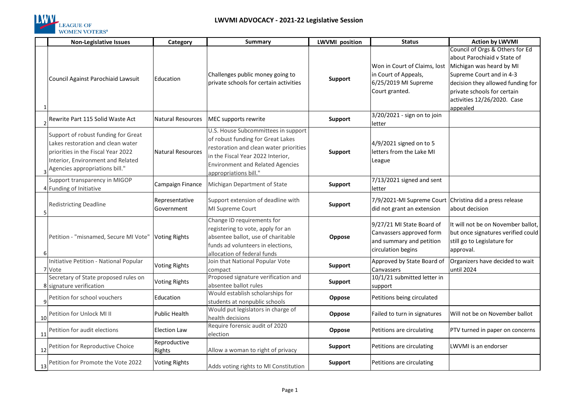

|                | <b>Non-Legislative Issues</b>                                                                                                                                                           | Category                      | Summary                                                                                                                                                                                                                     | <b>LWVMI</b> position | <b>Status</b>                                                                                           | <b>Action by LWVMI</b>                                                                                                                                                                                                                |
|----------------|-----------------------------------------------------------------------------------------------------------------------------------------------------------------------------------------|-------------------------------|-----------------------------------------------------------------------------------------------------------------------------------------------------------------------------------------------------------------------------|-----------------------|---------------------------------------------------------------------------------------------------------|---------------------------------------------------------------------------------------------------------------------------------------------------------------------------------------------------------------------------------------|
|                | Council Against Parochiaid Lawsuit                                                                                                                                                      | Education                     | Challenges public money going to<br>private schools for certain activities                                                                                                                                                  | Support               | Won in Court of Claims, lost<br>in Court of Appeals,<br>6/25/2019 MI Supreme<br>Court granted.          | Council of Orgs & Others for Ed<br>about Parochiaid v State of<br>Michigan was heard by MI<br>Supreme Court and in 4-3<br>decision they allowed funding for<br>private schools for certain<br>activities 12/26/2020. Case<br>appealed |
|                | Rewrite Part 115 Solid Waste Act                                                                                                                                                        | <b>Natural Resources</b>      | MEC supports rewrite                                                                                                                                                                                                        | <b>Support</b>        | 3/20/2021 - sign on to join<br>letter                                                                   |                                                                                                                                                                                                                                       |
|                | Support of robust funding for Great<br>Lakes restoration and clean water<br>priorities in the Fiscal Year 2022<br>Interior, Environment and Related<br>a Agencies appropriations bill." | <b>Natural Resources</b>      | U.S. House Subcommittees in support<br>of robust funding for Great Lakes<br>restoration and clean water priorities<br>in the Fiscal Year 2022 Interior,<br><b>Environment and Related Agencies</b><br>appropriations bill." | Support               | 4/9/2021 signed on to 5<br>letters from the Lake MI<br>League                                           |                                                                                                                                                                                                                                       |
|                | Support transparency in MIGOP<br>4 Funding of Initiative                                                                                                                                | Campaign Finance              | Michigan Department of State                                                                                                                                                                                                | <b>Support</b>        | 7/13/2021 signed and sent<br>letter                                                                     |                                                                                                                                                                                                                                       |
|                | <b>Redistricting Deadline</b>                                                                                                                                                           | Representative<br>Government  | Support extension of deadline with<br>MI Supreme Court                                                                                                                                                                      | <b>Support</b>        | 7/9/2021-MI Supreme Court Christina did a press release<br>did not grant an extension                   | about decision                                                                                                                                                                                                                        |
| 6 <sup>1</sup> | Petition - "misnamed, Secure MI Vote"                                                                                                                                                   | <b>Voting Rights</b>          | Change ID requirements for<br>registering to vote, apply for an<br>absentee ballot, use of charitable<br>funds ad volunteers in elections,<br>allocation of federal funds                                                   | Oppose                | 9/27/21 MI State Board of<br>Canvassers approved form<br>and summary and petition<br>circulation begins | It will not be on November ballot,<br>but once signatures verified could<br>still go to Legislature for<br>approval.                                                                                                                  |
|                | Initiative Petition - National Popular<br>7 Vote                                                                                                                                        | <b>Voting Rights</b>          | Join that National Popular Vote<br>compact                                                                                                                                                                                  | Support               | Approved by State Board of<br>Canvassers                                                                | Organizers have decided to wait<br>until 2024                                                                                                                                                                                         |
|                | Secretary of State proposed rules on<br>8 signature verification                                                                                                                        | <b>Voting Rights</b>          | Proposed signature verification and<br>absentee ballot rules                                                                                                                                                                | Support               | 10/1/21 submitted letter in<br>support                                                                  |                                                                                                                                                                                                                                       |
|                | 9 <sup>Petition</sup> for school vouchers                                                                                                                                               | Education                     | Would establish scholarships for<br>students at nonpublic schools                                                                                                                                                           | Oppose                | Petitions being circulated                                                                              |                                                                                                                                                                                                                                       |
| 10             | Petition for Unlock MI II                                                                                                                                                               | Public Health                 | Would put legislators in charge of<br>health decisions                                                                                                                                                                      | Oppose                | Failed to turn in signatures                                                                            | Will not be on November ballot                                                                                                                                                                                                        |
| 11             | Petition for audit elections                                                                                                                                                            | <b>Election Law</b>           | Require forensic audit of 2020<br>election                                                                                                                                                                                  | Oppose                | Petitions are circulating                                                                               | PTV turned in paper on concerns                                                                                                                                                                                                       |
| 12             | Petition for Reproductive Choice                                                                                                                                                        | Reproductive<br><b>Rights</b> | Allow a woman to right of privacy                                                                                                                                                                                           | <b>Support</b>        | Petitions are circulating                                                                               | LWVMI is an endorser                                                                                                                                                                                                                  |
| 13             | Petition for Promote the Vote 2022                                                                                                                                                      | <b>Voting Rights</b>          | Adds voting rights to MI Constitution                                                                                                                                                                                       | Support               | Petitions are circulating                                                                               |                                                                                                                                                                                                                                       |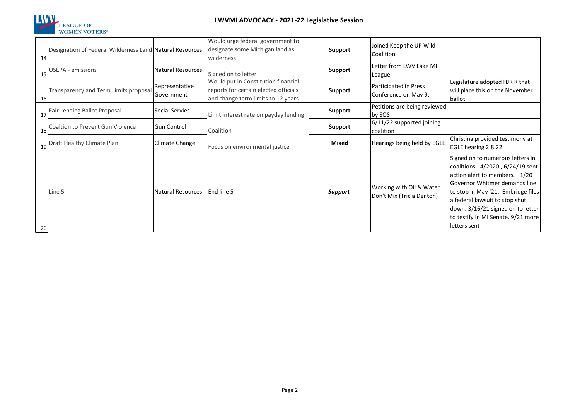

| 14 | Designation of Federal Wilderness Land Natural Resources |                              | Would urge federal government to<br>designate some Michigan land as<br>wilderness                                  | <b>Support</b> | Joined Keep the UP Wild<br>Coalition                  |                                                                                                                                                                                                                                                                                                             |
|----|----------------------------------------------------------|------------------------------|--------------------------------------------------------------------------------------------------------------------|----------------|-------------------------------------------------------|-------------------------------------------------------------------------------------------------------------------------------------------------------------------------------------------------------------------------------------------------------------------------------------------------------------|
|    | USEPA - emissions                                        | <b>Natural Resources</b>     | Signed on to letter                                                                                                | Support        | Letter from LWV Lake MI<br>League                     |                                                                                                                                                                                                                                                                                                             |
| 16 | Transparency and Term Limits proposal                    | Representative<br>Government | Would put in Constitution financial<br>reports for certain elected officials<br>and change term limits to 12 years | <b>Support</b> | Participated in Press<br>Conference on May 9.         | Legislature adopted HJR R that<br>will place this on the November<br>ballot                                                                                                                                                                                                                                 |
|    | 17 Fair Lending Ballot Proposal                          | Social Servies               | Limit interest rate on payday lending                                                                              | <b>Support</b> | Petitions are being reviewed<br>by SOS                |                                                                                                                                                                                                                                                                                                             |
|    | 18 Coaltion to Prevent Gun Violence                      | <b>Gun Control</b>           | Coalition                                                                                                          | Support        | 6/11/22 supported joining<br>coalition                |                                                                                                                                                                                                                                                                                                             |
|    | Draft Healthy Climate Plan                               | Climate Change               | Focus on environmental justice                                                                                     | <b>Mixed</b>   | Hearings being held by EGLE                           | Christina provided testimony at<br>EGLE hearing 2.8.22                                                                                                                                                                                                                                                      |
| 20 | Line 5                                                   | Natural Resources            | End line 5                                                                                                         | Support        | Working with Oil & Water<br>Don't Mix (Tricia Denton) | Signed on to numerous letters in<br>coalitions - 4/2020, 6/24/19 sent<br>action alert to members. !1/20<br>Governor Whitmer demands line<br>to stop in May '21. Embridge files<br>a federal lawsuit to stop shut<br>down. 3/16/21 signed on to letter<br>to testify in MI Senate. 9/21 more<br>letters sent |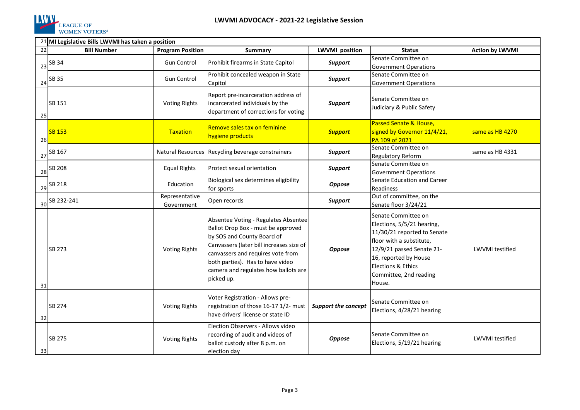

|    | 21 MI Legislative Bills LWVMI has taken a position |                              |                                                                                                                                                                                                                                                                                     |                            |                                                                                                                                                                                                                              |                        |
|----|----------------------------------------------------|------------------------------|-------------------------------------------------------------------------------------------------------------------------------------------------------------------------------------------------------------------------------------------------------------------------------------|----------------------------|------------------------------------------------------------------------------------------------------------------------------------------------------------------------------------------------------------------------------|------------------------|
| 22 | <b>Bill Number</b>                                 | <b>Program Position</b>      | <b>Summary</b>                                                                                                                                                                                                                                                                      | <b>LWVMI</b> position      | <b>Status</b>                                                                                                                                                                                                                | <b>Action by LWVMI</b> |
| 23 | SB 34                                              | <b>Gun Control</b>           | Prohibit firearms in State Capitol                                                                                                                                                                                                                                                  | Support                    | Senate Committee on<br><b>Government Operations</b>                                                                                                                                                                          |                        |
| 24 | SB 35                                              | <b>Gun Control</b>           | Prohibit concealed weapon in State<br>Capitol                                                                                                                                                                                                                                       | Support                    | Senate Committee on<br><b>Government Operations</b>                                                                                                                                                                          |                        |
| 25 | SB 151                                             | <b>Voting Rights</b>         | Report pre-incarceration address of<br>incarcerated individuals by the<br>department of corrections for voting                                                                                                                                                                      | <b>Support</b>             | Senate Committee on<br>Judiciary & Public Safety                                                                                                                                                                             |                        |
| 26 | <b>SB 153</b>                                      | Taxation                     | Remove sales tax on feminine<br>hygiene products                                                                                                                                                                                                                                    | <b>Support</b>             | Passed Senate & House,<br>signed by Governor 11/4/21,<br>PA 109 of 2021                                                                                                                                                      | same as HB 4270        |
| 27 | SB 167                                             |                              | Natural Resources Recycling beverage constrainers                                                                                                                                                                                                                                   | Support                    | Senate Committee on<br><b>Regulatory Reform</b>                                                                                                                                                                              | same as HB 4331        |
| 28 | SB 208                                             | <b>Equal Rights</b>          | Protect sexual orientation                                                                                                                                                                                                                                                          | Support                    | Senate Committee on<br><b>Government Operations</b>                                                                                                                                                                          |                        |
| 29 | SB 218                                             | <b>Education</b>             | Biological sex determines eligibility<br>for sports                                                                                                                                                                                                                                 | <b>Oppose</b>              | Senate Education and Career<br>Readiness                                                                                                                                                                                     |                        |
| 30 | SB 232-241                                         | Representative<br>Government | Open records                                                                                                                                                                                                                                                                        | Support                    | Out of committee, on the<br>Senate floor 3/24/21                                                                                                                                                                             |                        |
| 31 | SB 273                                             | <b>Voting Rights</b>         | Absentee Voting - Regulates Absentee<br>Ballot Drop Box - must be approved<br>by SOS and County Board of<br>Canvassers (later bill increases size of<br>canvassers and requires vote from<br>both parties). Has to have video<br>camera and regulates how ballots are<br>picked up. | <b>Oppose</b>              | Senate Committee on<br>Elections, 5/5/21 hearing,<br>11/30/21 reported to Senate<br>floor with a substitute,<br>12/9/21 passed Senate 21-<br>16, reported by House<br>Elections & Ethics<br>Committee, 2nd reading<br>House. | <b>LWVMI</b> testified |
| 32 | SB 274                                             | <b>Voting Rights</b>         | Voter Registration - Allows pre-<br>registration of those 16-17 1/2- must<br>lhave drivers' license or state ID                                                                                                                                                                     | <b>Support the concept</b> | Senate Committee on<br>Elections, 4/28/21 hearing                                                                                                                                                                            |                        |
| 33 | SB 275                                             | <b>Voting Rights</b>         | Election Observers - Allows video<br>recording of audit and videos of<br>ballot custody after 8 p.m. on<br>election day                                                                                                                                                             | <b>Oppose</b>              | Senate Committee on<br>Elections, 5/19/21 hearing                                                                                                                                                                            | <b>LWVMI</b> testified |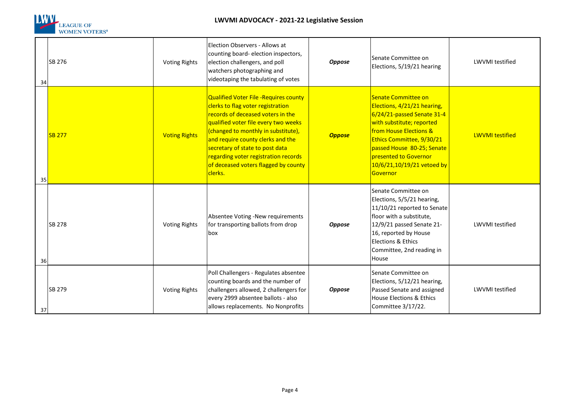

## **LWVMI ADVOCACY - 2021-22 Legislative Session**

| 34 | SB 276        | <b>Voting Rights</b> | Election Observers - Allows at<br>counting board- election inspectors,<br>election challengers, and poll<br>watchers photographing and<br>videotaping the tabulating of votes                                                                                                                                                                                     | Oppose        | Senate Committee on<br>Elections, 5/19/21 hearing                                                                                                                                                                                                                     | <b>LWVMI</b> testified |
|----|---------------|----------------------|-------------------------------------------------------------------------------------------------------------------------------------------------------------------------------------------------------------------------------------------------------------------------------------------------------------------------------------------------------------------|---------------|-----------------------------------------------------------------------------------------------------------------------------------------------------------------------------------------------------------------------------------------------------------------------|------------------------|
| 35 | <b>SB 277</b> | <b>Voting Rights</b> | Qualified Voter File -Requires county<br>clerks to flag voter registration<br>records of deceased voters in the<br>qualified voter file every two weeks<br>(changed to monthly in substitute),<br>and require county clerks and the<br>secretary of state to post data<br>regarding voter registration records<br>of deceased voters flagged by county<br>clerks. | <b>Oppose</b> | Senate Committee on<br>Elections, 4/21/21 hearing,<br>6/24/21-passed Senate 31-4<br>with substitute; reported<br>from House Elections &<br>Ethics Committee, 9/30/21<br>passed House 80-25; Senate<br>presented to Governor<br>10/6/21,10/19/21 vetoed by<br>Governor | <b>LWVMI</b> testified |
| 36 | <b>SB 278</b> | <b>Voting Rights</b> | Absentee Voting -New requirements<br>for transporting ballots from drop<br>box                                                                                                                                                                                                                                                                                    | <b>Oppose</b> | Senate Committee on<br>Elections, 5/5/21 hearing,<br>11/10/21 reported to Senate<br>floor with a substitute,<br>12/9/21 passed Senate 21-<br>16, reported by House<br>Elections & Ethics<br>Committee, 2nd reading in<br>House                                        | <b>LWVMI</b> testified |
| 37 | SB 279        | <b>Voting Rights</b> | Poll Challengers - Regulates absentee<br>counting boards and the number of<br>challengers allowed, 2 challengers for<br>every 2999 absentee ballots - also<br>allows replacements. No Nonprofits                                                                                                                                                                  | <b>Oppose</b> | Senate Committee on<br>Elections, 5/12/21 hearing,<br>Passed Senate and assigned<br><b>House Elections &amp; Ethics</b><br>Committee 3/17/22.                                                                                                                         | <b>LWVMI</b> testified |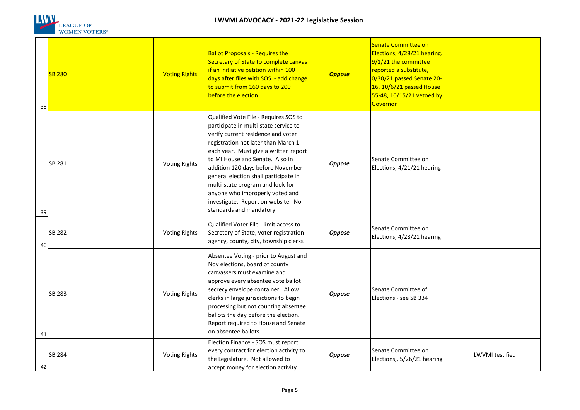

| 38 | <b>SB 280</b> | <b>Voting Rights</b> | <b>Ballot Proposals - Requires the</b><br>Secretary of State to complete canvas<br>if an initiative petition within 100<br>days after files with SOS - add change<br>to submit from 160 days to 200<br>before the election                                                                                                                                                                                                                                    | <b>Oppose</b> | Senate Committee on<br>Elections, 4/28/21 hearing.<br>$9/1/21$ the committee<br>reported a substitute,<br>0/30/21 passed Senate 20-<br>16, 10/6/21 passed House<br>55-48, 10/15/21 vetoed by<br>Governor |                 |
|----|---------------|----------------------|---------------------------------------------------------------------------------------------------------------------------------------------------------------------------------------------------------------------------------------------------------------------------------------------------------------------------------------------------------------------------------------------------------------------------------------------------------------|---------------|----------------------------------------------------------------------------------------------------------------------------------------------------------------------------------------------------------|-----------------|
| 39 | SB 281        | <b>Voting Rights</b> | Qualified Vote File - Requires SOS to<br>participate in multi-state service to<br>verify current residence and voter<br>registration not later than March 1<br>each year. Must give a written report<br>to MI House and Senate. Also in<br>addition 120 days before November<br>general election shall participate in<br>multi-state program and look for<br>anyone who improperly voted and<br>investigate. Report on website. No<br>standards and mandatory | <b>Oppose</b> | Senate Committee on<br>Elections, 4/21/21 hearing                                                                                                                                                        |                 |
| 40 | SB 282        | <b>Voting Rights</b> | Qualified Voter File - limit access to<br>Secretary of State, voter registration<br>agency, county, city, township clerks                                                                                                                                                                                                                                                                                                                                     | <b>Oppose</b> | Senate Committee on<br>Elections, 4/28/21 hearing                                                                                                                                                        |                 |
| 41 | SB 283        | <b>Voting Rights</b> | Absentee Voting - prior to August and<br>Nov elections, board of county<br>canvassers must examine and<br>approve every absentee vote ballot<br>secrecy envelope container. Allow<br>clerks in large jurisdictions to begin<br>processing but not counting absentee<br>ballots the day before the election.<br>Report required to House and Senate<br>on absentee ballots                                                                                     | <b>Oppose</b> | Senate Committee of<br>Elections - see SB 334                                                                                                                                                            |                 |
| 42 | SB 284        | <b>Voting Rights</b> | Election Finance - SOS must report<br>every contract for election activity to<br>the Legislature. Not allowed to<br>accept money for election activity                                                                                                                                                                                                                                                                                                        | <b>Oppose</b> | Senate Committee on<br>Elections,, 5/26/21 hearing                                                                                                                                                       | LWVMI testified |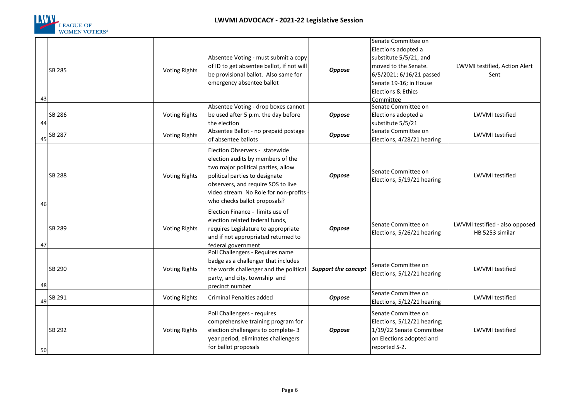

| 43 | SB 285 | <b>Voting Rights</b> | Absentee Voting - must submit a copy<br>of ID to get absentee ballot, if not will<br>be provisional ballot. Also same for<br>emergency absentee ballot                                                                                                    | Oppose                     | Senate Committee on<br>Elections adopted a<br>substitute 5/5/21, and<br>moved to the Senate.<br>6/5/2021; 6/16/21 passed<br>Senate 19-16; in House<br><b>Elections &amp; Ethics</b><br>Committee | LWVMI testified, Action Alert<br>Sent             |
|----|--------|----------------------|-----------------------------------------------------------------------------------------------------------------------------------------------------------------------------------------------------------------------------------------------------------|----------------------------|--------------------------------------------------------------------------------------------------------------------------------------------------------------------------------------------------|---------------------------------------------------|
| 44 | SB 286 | <b>Voting Rights</b> | Absentee Voting - drop boxes cannot<br>be used after 5 p.m. the day before<br>the election                                                                                                                                                                | <b>Oppose</b>              | Senate Committee on<br>Elections adopted a<br>substitute 5/5/21                                                                                                                                  | <b>LWVMI</b> testified                            |
| 45 | SB 287 | <b>Voting Rights</b> | Absentee Ballot - no prepaid postage<br>of absentee ballots                                                                                                                                                                                               | Oppose                     | Senate Committee on<br>Elections, 4/28/21 hearing                                                                                                                                                | <b>LWVMI</b> testified                            |
| 46 | SB 288 | <b>Voting Rights</b> | Election Observers - statewide<br>election audits by members of the<br>two major political parties, allow<br>political parties to designate<br>observers, and require SOS to live<br>video stream No Role for non-profits<br>who checks ballot proposals? | <b>Oppose</b>              | Senate Committee on<br>Elections, 5/19/21 hearing                                                                                                                                                | <b>LWVMI</b> testified                            |
| 47 | SB 289 | <b>Voting Rights</b> | Election Finance - limits use of<br>election related federal funds,<br>requires Legislature to appropriate<br>and if not appropriated returned to<br>federal government                                                                                   | <b>Oppose</b>              | Senate Committee on<br>Elections, 5/26/21 hearing                                                                                                                                                | LWVMI testified - also opposed<br>HB 5253 similar |
| 48 | SB 290 | <b>Voting Rights</b> | Poll Challengers - Requires name<br>badge as a challenger that includes<br>the words challenger and the political<br>party, and city, township and<br>precinct number                                                                                     | <b>Support the concept</b> | Senate Committee on<br>Elections, 5/12/21 hearing                                                                                                                                                | <b>LWVMI</b> testified                            |
| 49 | SB 291 | <b>Voting Rights</b> | Criminal Penalties added                                                                                                                                                                                                                                  | <b>Oppose</b>              | Senate Committee on<br>Elections, 5/12/21 hearing                                                                                                                                                | <b>LWVMI</b> testified                            |
| 50 | SB 292 | <b>Voting Rights</b> | Poll Challengers - requires<br>comprehensive training program for<br>election challengers to complete-3<br>year period, eliminates challengers<br>for ballot proposals                                                                                    | Oppose                     | Senate Committee on<br>Elections, 5/12/21 hearing;<br>1/19/22 Senate Committee<br>on Elections adopted and<br>reported S-2.                                                                      | <b>LWVMI</b> testified                            |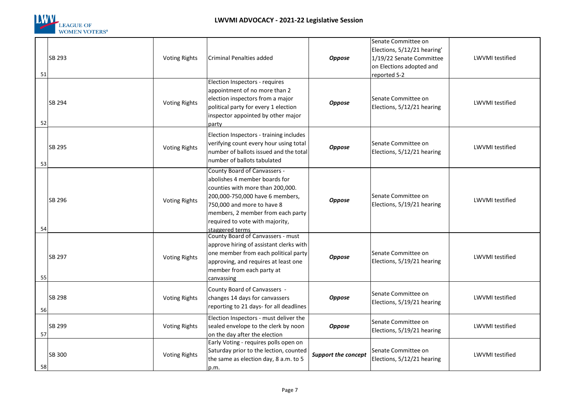

|    |        |                      |                                                                                                                                                                                                                                                               |                     | Senate Committee on                                                                                 |                        |
|----|--------|----------------------|---------------------------------------------------------------------------------------------------------------------------------------------------------------------------------------------------------------------------------------------------------------|---------------------|-----------------------------------------------------------------------------------------------------|------------------------|
| 51 | SB 293 | <b>Voting Rights</b> | <b>Criminal Penalties added</b>                                                                                                                                                                                                                               | Oppose              | Elections, 5/12/21 hearing'<br>1/19/22 Senate Committee<br>on Elections adopted and<br>reported S-2 | LWVMI testified        |
| 52 | SB 294 | <b>Voting Rights</b> | Election Inspectors - requires<br>appointment of no more than 2<br>election inspectors from a major<br>political party for every 1 election<br>inspector appointed by other major<br>party                                                                    | <b>Oppose</b>       | Senate Committee on<br>Elections, 5/12/21 hearing                                                   | <b>LWVMI</b> testified |
| 53 | SB 295 | <b>Voting Rights</b> | Election Inspectors - training includes<br>verifying count every hour using total<br>number of ballots issued and the total<br>number of ballots tabulated                                                                                                    | <b>Oppose</b>       | Senate Committee on<br>Elections, 5/12/21 hearing                                                   | LWVMI testified        |
| 54 | SB 296 | <b>Voting Rights</b> | County Board of Canvassers -<br>abolishes 4 member boards for<br>counties with more than 200,000.<br>200,000-750,000 have 6 members,<br>750,000 and more to have 8<br>members, 2 member from each party<br>required to vote with majority,<br>staggered terms | Oppose              | lSenate Committee on<br>Elections, 5/19/21 hearing                                                  | <b>LWVMI</b> testified |
| 55 | SB 297 | <b>Voting Rights</b> | County Board of Canvassers - must<br>approve hiring of assistant clerks with<br>one member from each political party<br>approving, and requires at least one<br>member from each party at<br>canvassing                                                       | Oppose              | Senate Committee on<br>Elections, 5/19/21 hearing                                                   | <b>LWVMI</b> testified |
| 56 | SB 298 | <b>Voting Rights</b> | County Board of Canvassers -<br>changes 14 days for canvassers<br>reporting to 21 days- for all deadlines                                                                                                                                                     | Oppose              | Senate Committee on<br>Elections, 5/19/21 hearing                                                   | <b>LWVMI</b> testified |
| 57 | SB 299 | <b>Voting Rights</b> | Election Inspectors - must deliver the<br>sealed envelope to the clerk by noon<br>on the day after the election                                                                                                                                               | <b>Oppose</b>       | Senate Committee on<br>Elections, 5/19/21 hearing                                                   | <b>LWVMI</b> testified |
| 58 | SB 300 | <b>Voting Rights</b> | Early Voting - requires polls open on<br>Saturday prior to the lection, counted<br>the same as election day, 8 a.m. to 5<br>p.m.                                                                                                                              | Support the concept | Senate Committee on<br>Elections, 5/12/21 hearing                                                   | LWVMI testified        |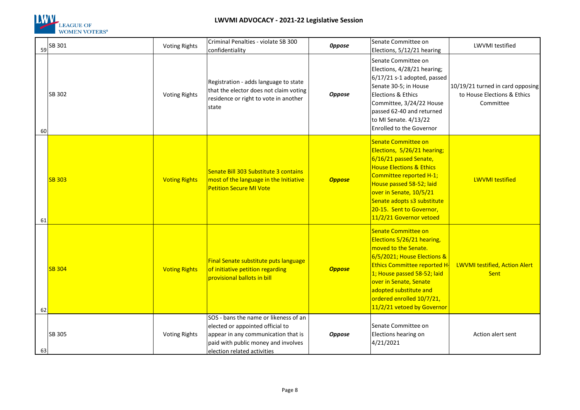

## **LWVMI ADVOCACY - 2021-22 Legislative Session**

| 59 | SB 301        | <b>Voting Rights</b> | Criminal Penalties - violate SB 300<br>confidentiality                                                                                                                                 | <b>Oppose</b> | Senate Committee on<br>Elections, 5/12/21 hearing                                                                                                                                                                                                                                                   | <b>LWVMI</b> testified                                                       |
|----|---------------|----------------------|----------------------------------------------------------------------------------------------------------------------------------------------------------------------------------------|---------------|-----------------------------------------------------------------------------------------------------------------------------------------------------------------------------------------------------------------------------------------------------------------------------------------------------|------------------------------------------------------------------------------|
| 60 | SB 302        | <b>Voting Rights</b> | Registration - adds language to state<br>that the elector does not claim voting<br>residence or right to vote in another<br>state                                                      | Oppose        | Senate Committee on<br>Elections, 4/28/21 hearing;<br>6/17/21 s-1 adopted, passed<br>Senate 30-5; in House<br><b>Elections &amp; Ethics</b><br>Committee, 3/24/22 House<br>passed 62-40 and returned<br>to MI Senate. 4/13/22<br>Enrolled to the Governor                                           | 10/19/21 turned in card opposing<br>to House Elections & Ethics<br>Committee |
| 61 | <b>SB 303</b> | <b>Voting Rights</b> | Senate Bill 303 Substitute 3 contains<br>most of the language in the Initiative<br><b>Petition Secure MI Vote</b>                                                                      | <b>Oppose</b> | <b>Senate Committee on</b><br>Elections, 5/26/21 hearing;<br>6/16/21 passed Senate,<br><b>House Elections &amp; Ethics</b><br>Committee reported H-1;<br>House passed 58-52; laid<br>over in Senate, 10/5/21<br>Senate adopts s3 substitute<br>20-15. Sent to Governor,<br>11/2/21 Governor vetoed  | LWVMI testified                                                              |
| 62 | <b>SB 304</b> | <b>Voting Rights</b> | Final Senate substitute puts language<br>of initiative petition regarding<br>provisional ballots in bill                                                                               | <b>Oppose</b> | <b>Senate Committee on</b><br>Elections 5/26/21 hearing,<br>moved to the Senate.<br>6/5/2021; House Elections &<br><b>Ethics Committee reported H</b><br>1; House passed 58-52; laid<br>over in Senate, Senate<br>adopted substitute and<br>ordered enrolled 10/7/21,<br>11/2/21 vetoed by Governor | LWVMI testified, Action Alert<br><b>Sent</b>                                 |
| 63 | SB 305        | <b>Voting Rights</b> | SOS - bans the name or likeness of an<br>elected or appointed official to<br>appear in any communication that is<br>paid with public money and involves<br>election related activities | <b>Oppose</b> | Senate Committee on<br>Elections hearing on<br>4/21/2021                                                                                                                                                                                                                                            | Action alert sent                                                            |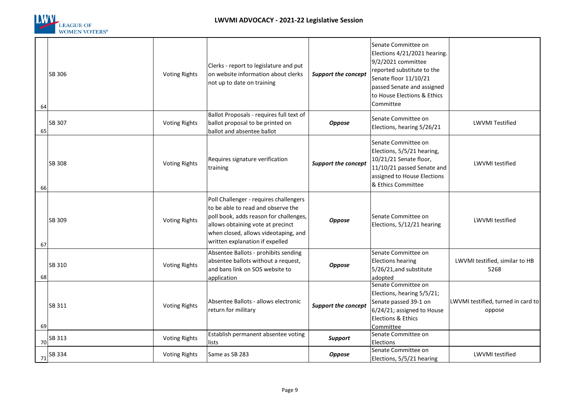

| 64   | SB 306        | <b>Voting Rights</b> | Clerks - report to legislature and put<br>on website information about clerks<br>not up to date on training                                                                                                                            | <b>Support the concept</b> | Senate Committee on<br>Elections 4/21/2021 hearing.<br>9/2/2021 committee<br>reported substitute to the<br>Senate floor 11/10/21<br>passed Senate and assigned<br>to House Elections & Ethics<br>Committee |                                              |
|------|---------------|----------------------|----------------------------------------------------------------------------------------------------------------------------------------------------------------------------------------------------------------------------------------|----------------------------|------------------------------------------------------------------------------------------------------------------------------------------------------------------------------------------------------------|----------------------------------------------|
| 65   | <b>SB 307</b> | <b>Voting Rights</b> | Ballot Proposals - requires full text of<br>ballot proposal to be printed on<br>ballot and absentee ballot                                                                                                                             | Oppose                     | Senate Committee on<br>Elections, hearing 5/26/21                                                                                                                                                          | <b>LWVMI Testified</b>                       |
| 66   | <b>SB 308</b> | <b>Voting Rights</b> | Requires signature verification<br>training                                                                                                                                                                                            | Support the concept        | Senate Committee on<br>Elections, 5/5/21 hearing,<br>10/21/21 Senate floor,<br>11/10/21 passed Senate and<br>assigned to House Elections<br>& Ethics Committee                                             | <b>LWVMI</b> testified                       |
| 67   | SB 309        | <b>Voting Rights</b> | Poll Challenger - requires challengers<br>to be able to read and observe the<br>poll book, adds reason for challenges,<br>allows obtaining vote at precinct<br>when closed, allows videotaping, and<br>written explanation if expelled | Oppose                     | Senate Committee on<br>Elections, 5/12/21 hearing                                                                                                                                                          | <b>LWVMI</b> testified                       |
| 68   | SB 310        | <b>Voting Rights</b> | Absentee Ballots - prohibits sending<br>absentee ballots without a request,<br>and bans link on SOS website to<br>application                                                                                                          | Oppose                     | Senate Committee on<br><b>Elections hearing</b><br>5/26/21, and substitute<br>adopted                                                                                                                      | LWVMI testified, similar to HB<br>5268       |
| 69 l | SB 311        | <b>Voting Rights</b> | Absentee Ballots - allows electronic<br>return for military                                                                                                                                                                            | <b>Support the concept</b> | Senate Committee on<br>Elections, hearing 5/5/21;<br>Senate passed 39-1 on<br>6/24/21; assigned to House<br>Elections & Ethics<br>Committee                                                                | LWVMI testified, turned in card to<br>oppose |
|      | $70$ SB 313   | <b>Voting Rights</b> | Establish permanent absentee voting<br>lists                                                                                                                                                                                           | <b>Support</b>             | Senate Committee on<br>Elections                                                                                                                                                                           |                                              |
| 71   | SB 334        | <b>Voting Rights</b> | Same as SB 283                                                                                                                                                                                                                         | Oppose                     | Senate Committee on<br>Elections, 5/5/21 hearing                                                                                                                                                           | LWVMI testified                              |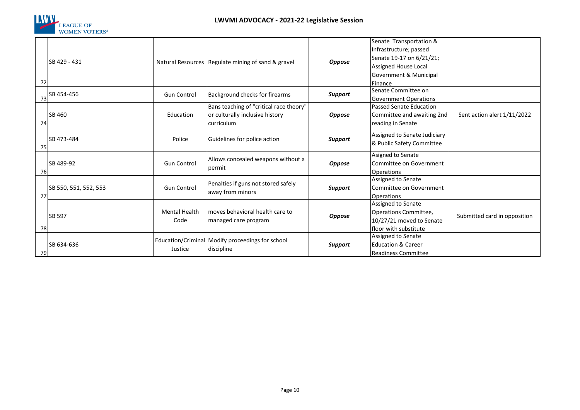

|    |                       |                      |                                                      |                | Senate Transportation &                     |                              |
|----|-----------------------|----------------------|------------------------------------------------------|----------------|---------------------------------------------|------------------------------|
|    |                       |                      |                                                      |                | Infrastructure; passed                      |                              |
|    | SB 429 - 431          |                      | Natural Resources   Regulate mining of sand & gravel |                | Senate 19-17 on 6/21/21;                    |                              |
|    |                       |                      |                                                      | <b>Oppose</b>  | Assigned House Local                        |                              |
|    |                       |                      |                                                      |                | Government & Municipal                      |                              |
| 72 |                       |                      |                                                      |                | Finance                                     |                              |
|    | 73 SB 454-456         | <b>Gun Control</b>   | Background checks for firearms                       | Support        | Senate Committee on                         |                              |
|    |                       |                      |                                                      |                | <b>Government Operations</b>                |                              |
|    |                       |                      | Bans teaching of "critical race theory"              |                | Passed Senate Education                     |                              |
|    | SB 460                | Education            | or culturally inclusive history                      | <b>Oppose</b>  | Committee and awaiting 2nd                  | Sent action alert 1/11/2022  |
| 74 |                       |                      | curriculum                                           |                | reading in Senate                           |                              |
|    |                       |                      |                                                      |                | Assigned to Senate Judiciary                |                              |
|    | SB 473-484            | Police               | Guidelines for police action                         | <b>Support</b> | & Public Safety Committee                   |                              |
| 75 |                       |                      |                                                      |                |                                             |                              |
|    | SB 489-92             | <b>Gun Control</b>   | Allows concealed weapons without a<br>permit         |                | Asigned to Senate                           |                              |
|    |                       |                      |                                                      | <b>Oppose</b>  | Committee on Government                     |                              |
| 76 |                       |                      |                                                      |                | <b>Operations</b>                           |                              |
|    |                       | <b>Gun Control</b>   | Penalties if guns not stored safely                  |                | Assigned to Senate                          |                              |
|    | SB 550, 551, 552, 553 |                      | away from minors                                     | <b>Support</b> | Committee on Government                     |                              |
| 77 |                       |                      |                                                      |                | Operations                                  |                              |
|    |                       | <b>Mental Health</b> | moves behavioral health care to                      |                | Assigned to Senate                          |                              |
|    | SB 597                | Code                 |                                                      | <b>Oppose</b>  | Operations Committee,                       | Submitted card in opposition |
|    |                       |                      | managed care program                                 |                | 10/27/21 moved to Senate                    |                              |
| 78 |                       |                      |                                                      |                | floor with substitute<br>Assigned to Senate |                              |
|    | SB 634-636            |                      | Education/Criminal Modify proceedings for school     |                | <b>Education &amp; Career</b>               |                              |
| 79 |                       | Justice              | discipline                                           | <b>Support</b> |                                             |                              |
|    |                       |                      |                                                      |                | <b>Readiness Committee</b>                  |                              |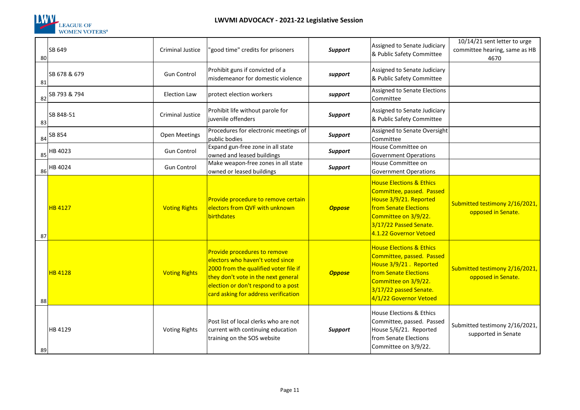

| 80 | SB 649         | <b>Criminal Justice</b> | 'good time" credits for prisoners                                                                                                                                                                                               | Support        | Assigned to Senate Judiciary<br>& Public Safety Committee                                                                                                                                       | 10/14/21 sent letter to urge<br>committee hearing, same as HB<br>4670 |
|----|----------------|-------------------------|---------------------------------------------------------------------------------------------------------------------------------------------------------------------------------------------------------------------------------|----------------|-------------------------------------------------------------------------------------------------------------------------------------------------------------------------------------------------|-----------------------------------------------------------------------|
| 81 | SB 678 & 679   | <b>Gun Control</b>      | Prohibit guns if convicted of a<br>misdemeanor for domestic violence                                                                                                                                                            | support        | Assigned to Senate Judiciary<br>& Public Safety Committee                                                                                                                                       |                                                                       |
| 82 | SB 793 & 794   | <b>Election Law</b>     | protect election workers                                                                                                                                                                                                        | support        | <b>Assigned to Senate Elections</b><br>Committee                                                                                                                                                |                                                                       |
| 83 | SB 848-51      | Criminal Justice        | Prohibit life without parole for<br>juvenile offenders                                                                                                                                                                          | <b>Support</b> | Assigned to Senate Judiciary<br>& Public Safety Committee                                                                                                                                       |                                                                       |
| 84 | SB 854         | Open Meetings           | Procedures for electronic meetings of<br>public bodies                                                                                                                                                                          | <b>Support</b> | Assigned to Senate Oversight<br>Committee                                                                                                                                                       |                                                                       |
| 85 | HB 4023        | <b>Gun Control</b>      | Expand gun-free zone in all state<br>owned and leased buildings                                                                                                                                                                 | Support        | House Committee on<br><b>Government Operations</b>                                                                                                                                              |                                                                       |
| 86 | HB 4024        | <b>Gun Control</b>      | Make weapon-free zones in all state<br>owned or leased buildings                                                                                                                                                                | Support        | House Committee on<br><b>Government Operations</b>                                                                                                                                              |                                                                       |
| 87 | <b>HB 4127</b> | <b>Voting Rights</b>    | Provide procedure to remove certain<br>electors from QVF with unknown<br>birthdates                                                                                                                                             | <b>Oppose</b>  | <b>House Elections &amp; Ethics</b><br>Committee, passed. Passed<br>House 3/9/21. Reported<br>from Senate Elections<br>Committee on 3/9/22.<br>3/17/22 Passed Senate.<br>4.1.22 Governor Vetoed | Submitted testimony 2/16/2021,<br>opposed in Senate.                  |
| 88 | <b>HB 4128</b> | <b>Voting Rights</b>    | Provide procedures to remove<br>electors who haven't voted since<br>2000 from the qualified voter file if<br>they don't vote in the next general<br>election or don't respond to a post<br>card asking for address verification | <b>Oppose</b>  | <b>House Elections &amp; Ethics</b><br>Committee, passed. Passed<br>House 3/9/21. Reported<br>from Senate Elections<br>Committee on 3/9/22.<br>3/17/22 passed Senate.<br>4/1/22 Governor Vetoed | Submitted testimony 2/16/2021,<br>opposed in Senate.                  |
| 89 | HB 4129        | <b>Voting Rights</b>    | Post list of local clerks who are not<br>current with continuing education<br>training on the SOS website                                                                                                                       | <b>Support</b> | House Elections & Ethics<br>Committee, passed. Passed<br>House 5/6/21. Reported<br>from Senate Elections<br>Committee on 3/9/22.                                                                | Submitted testimony 2/16/2021,<br>supported in Senate                 |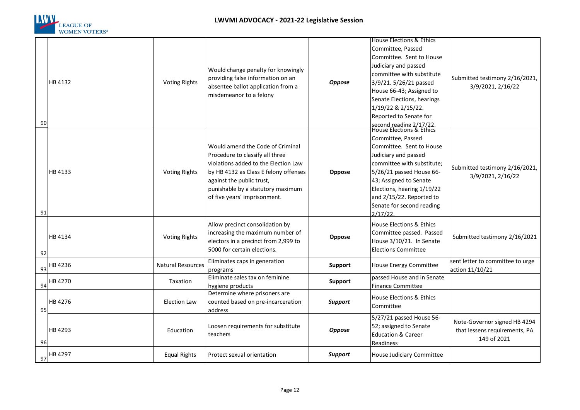

|    |         |                          |                                                   |                | House Elections & Ethics                            |                                  |
|----|---------|--------------------------|---------------------------------------------------|----------------|-----------------------------------------------------|----------------------------------|
|    |         |                          |                                                   |                | Committee, Passed                                   |                                  |
|    |         |                          |                                                   |                | Committee. Sent to House                            |                                  |
|    |         |                          | Would change penalty for knowingly                |                | Judiciary and passed                                |                                  |
|    |         |                          |                                                   |                | committee with substitute                           |                                  |
|    | HB 4132 | <b>Voting Rights</b>     | providing false information on an                 | <b>Oppose</b>  | 3/9/21. 5/26/21 passed                              | Submitted testimony 2/16/2021,   |
|    |         |                          | absentee ballot application from a                |                | House 66-43; Assigned to                            | 3/9/2021, 2/16/22                |
|    |         |                          | misdemeanor to a felony                           |                | Senate Elections, hearings                          |                                  |
|    |         |                          |                                                   |                | 1/19/22 & 2/15/22.                                  |                                  |
|    |         |                          |                                                   |                | Reported to Senate for                              |                                  |
| 90 |         |                          |                                                   |                |                                                     |                                  |
|    |         |                          |                                                   |                | second reading 2/17/22.<br>House Elections & Ethics |                                  |
|    |         |                          |                                                   |                | Committee, Passed                                   |                                  |
|    |         |                          | Would amend the Code of Criminal                  |                | Committee. Sent to House                            |                                  |
|    |         |                          | Procedure to classify all three                   |                | Judiciary and passed                                |                                  |
|    |         |                          | violations added to the Election Law              |                | committee with substitute;                          |                                  |
|    | HB 4133 | <b>Voting Rights</b>     | by HB 4132 as Class E felony offenses             | Oppose         | 5/26/21 passed House 66-                            | Submitted testimony 2/16/2021,   |
|    |         |                          | against the public trust,                         |                | 43; Assigned to Senate                              | 3/9/2021, 2/16/22                |
|    |         |                          | punishable by a statutory maximum                 |                | Elections, hearing 1/19/22                          |                                  |
|    |         |                          | of five years' imprisonment.                      |                | and 2/15/22. Reported to                            |                                  |
|    |         |                          |                                                   |                | Senate for second reading                           |                                  |
| 91 |         |                          |                                                   |                | 2/17/22                                             |                                  |
|    |         |                          | Allow precinct consolidation by                   |                | House Elections & Ethics                            |                                  |
|    |         |                          | increasing the maximum number of                  |                | Committee passed. Passed                            |                                  |
|    | HB 4134 | <b>Voting Rights</b>     | electors in a precinct from 2,999 to              | Oppose         | House 3/10/21. In Senate                            | Submitted testimony 2/16/2021    |
|    |         |                          | 5000 for certain elections.                       |                | <b>Elections Committee</b>                          |                                  |
| 92 |         |                          |                                                   |                |                                                     |                                  |
|    | HB 4236 | <b>Natural Resources</b> | Eliminates caps in generation                     | <b>Support</b> | House Energy Committee                              | sent letter to committee to urge |
| 93 |         |                          | programs<br>Eliminate sales tax on feminine       |                | passed House and in Senate                          | action 11/10/21                  |
|    | HB 4270 | Taxation                 |                                                   | <b>Support</b> |                                                     |                                  |
| 94 |         |                          | hygiene products<br>Determine where prisoners are |                | <b>Finance Committee</b>                            |                                  |
|    | HB 4276 | <b>Election Law</b>      | counted based on pre-incarceration                | <b>Support</b> | House Elections & Ethics                            |                                  |
| 95 |         |                          | address                                           |                | Committee                                           |                                  |
|    |         |                          |                                                   |                | 5/27/21 passed House 56-                            |                                  |
|    |         |                          | Loosen requirements for substitute                |                | 52; assigned to Senate                              | Note-Governor signed HB 4294     |
|    | HB 4293 | Education                | teachers                                          | <b>Oppose</b>  | <b>Education &amp; Career</b>                       | that lessens requirements, PA    |
| 96 |         |                          |                                                   |                | Readiness                                           | 149 of 2021                      |
|    |         |                          |                                                   |                |                                                     |                                  |
| 97 | HB 4297 | <b>Equal Rights</b>      | Protect sexual orientation                        | <b>Support</b> | House Judiciary Committee                           |                                  |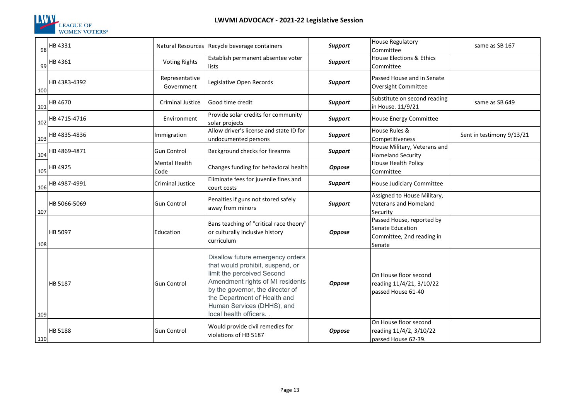

| 98  | HB 4331      |                              | Natural Resources   Recycle beverage containers                                                                                                                                                                                                                      | <b>Support</b> | <b>House Regulatory</b><br>Committee                                                 | same as SB 167            |
|-----|--------------|------------------------------|----------------------------------------------------------------------------------------------------------------------------------------------------------------------------------------------------------------------------------------------------------------------|----------------|--------------------------------------------------------------------------------------|---------------------------|
| 99  | HB 4361      | <b>Voting Rights</b>         | Establish permanent absentee voter<br>lists                                                                                                                                                                                                                          | <b>Support</b> | <b>House Elections &amp; Ethics</b><br>Committee                                     |                           |
| 100 | HB 4383-4392 | Representative<br>Government | Legislative Open Records                                                                                                                                                                                                                                             | <b>Support</b> | Passed House and in Senate<br>Oversight Committee                                    |                           |
| 101 | HB 4670      | Criminal Justice             | Good time credit                                                                                                                                                                                                                                                     | <b>Support</b> | Substitute on second reading<br>in House. 11/9/21                                    | same as SB 649            |
| 102 | HB 4715-4716 | Environment                  | Provide solar credits for community<br>solar projects                                                                                                                                                                                                                | <b>Support</b> | <b>House Energy Committee</b>                                                        |                           |
| 103 | HB 4835-4836 | Immigration                  | Allow driver's license and state ID for<br>undocumented persons                                                                                                                                                                                                      | <b>Support</b> | House Rules &<br>Competitiveness                                                     | Sent in testimony 9/13/21 |
| 104 | HB 4869-4871 | Gun Control                  | Background checks for firearms                                                                                                                                                                                                                                       | <b>Support</b> | House Military, Veterans and<br><b>Homeland Security</b>                             |                           |
| 105 | HB 4925      | Mental Health<br>Code        | Changes funding for behavioral health                                                                                                                                                                                                                                | <b>Oppose</b>  | House Health Policy<br>Committee                                                     |                           |
| 106 | HB 4987-4991 | Criminal Justice             | Eliminate fees for juvenile fines and<br>court costs                                                                                                                                                                                                                 | <b>Support</b> | House Judiciary Committee                                                            |                           |
| 107 | HB 5066-5069 | <b>Gun Control</b>           | Penalties if guns not stored safely<br>away from minors                                                                                                                                                                                                              | <b>Support</b> | Assigned to House Military,<br>Veterans and Homeland<br>Security                     |                           |
| 108 | HB 5097      | Education                    | Bans teaching of "critical race theory"<br>or culturally inclusive history<br>curriculum                                                                                                                                                                             | <b>Oppose</b>  | Passed House, reported by<br>Senate Education<br>Committee, 2nd reading in<br>Senate |                           |
| 109 | HB 5187      | <b>Gun Control</b>           | Disallow future emergency orders<br>that would prohibit, suspend, or<br>limit the perceived Second<br>Amendment rights of MI residents<br>by the governor, the director of<br>the Department of Health and<br>Human Services (DHHS), and<br>local health officers. . | <b>Oppose</b>  | On House floor second<br>reading 11/4/21, 3/10/22<br>passed House 61-40              |                           |
| 110 | HB 5188      | <b>Gun Control</b>           | Would provide civil remedies for<br>violations of HB 5187                                                                                                                                                                                                            | <b>Oppose</b>  | On House floor second<br>reading 11/4/2, 3/10/22<br>passed House 62-39.              |                           |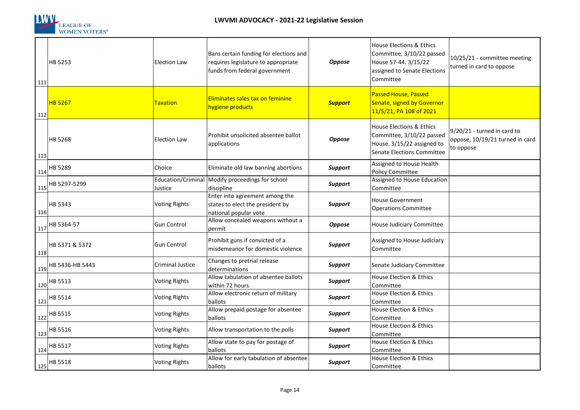

| 111 | <b>HB 5253</b>            | <b>Election Law</b>  | Bans certain funding for elections and<br>requires legislature to appropriate<br>funds from federal government | <b>Oppose</b>  | House Elections & Ethics<br>Committee, 3/10/22 passed<br>House 57-44. 3/15/22<br>assigned to Senate Elections<br>Committee          | 10/25/21 - committee meeting<br>turned in card to oppose                    |
|-----|---------------------------|----------------------|----------------------------------------------------------------------------------------------------------------|----------------|-------------------------------------------------------------------------------------------------------------------------------------|-----------------------------------------------------------------------------|
| 112 | <b>HB 5267</b>            | Taxation             | Eliminates sales tax on feminine<br>hygiene products                                                           | <b>Support</b> | <b>Passed House, Passed</b><br>Senate, signed by Governor<br>11/5/21, PA 108 of 2021                                                |                                                                             |
| 113 | <b>HB 5268</b>            | <b>Election Law</b>  | Prohibit unsolicited absentee ballot<br>applications                                                           | <b>Oppose</b>  | <b>House Elections &amp; Ethics</b><br>Committee, 3/10/22 passed<br>House. 3/15/22 assigned to<br><b>Senate Elections Committee</b> | 9/20/21 - turned in card to<br>oppose, 10/19/21 turned in card<br>to oppose |
|     | $114$ <sup>HB 5289</sup>  | Choice               | Eliminate old law banning abortions                                                                            | <b>Support</b> | Assigned to House Health<br>Policy Committee                                                                                        |                                                                             |
| 115 | HB 5297-5299              | Justice              | Education/Criminal   Modify proceedings for school<br>discipline                                               | <b>Support</b> | Assigned to House Education<br>Committee                                                                                            |                                                                             |
| 116 | HB 5343                   | <b>Voting Rights</b> | Enter into agreement among the<br>states to elect the president by<br>national popular vote                    | <b>Support</b> | <b>House Government</b><br><b>Operations Committee</b>                                                                              |                                                                             |
|     |                           | <b>Gun Control</b>   | Allow concealed weapons without a<br>permit                                                                    | <b>Oppose</b>  | House Judiciary Committee                                                                                                           |                                                                             |
| 118 | HB 5371 & 5372            | <b>Gun Control</b>   | Prohibit guns if convicted of a<br>misdemeanor for domestic violence                                           | <b>Support</b> | Assigned to House Judiciary<br>Committee                                                                                            |                                                                             |
| 119 | HB 5436-HB 5443           | Criminal Justice     | Changes to pretrial release<br>determinations                                                                  | <b>Support</b> | Senate Judiciary Committee                                                                                                          |                                                                             |
|     | $\frac{120}{120}$ HB 5513 | <b>Voting Rights</b> | Allow tabulation of absentee ballots<br>within 72 hours                                                        | <b>Support</b> | House Election & Ethics<br>Committee                                                                                                |                                                                             |
|     | $\frac{121}{122}$ HB 5514 | <b>Voting Rights</b> | Allow electronic return of military<br>ballots                                                                 | <b>Support</b> | House Election & Ethics<br>Committee                                                                                                |                                                                             |
|     | $\frac{122}{122}$ HB 5515 | <b>Voting Rights</b> | Allow prepaid postage for absentee<br>ballots                                                                  | <b>Support</b> | House Election & Ethics<br>Committee                                                                                                |                                                                             |
|     | $\frac{123}{ }$ HB 5516   | <b>Voting Rights</b> | Allow transportation to the polls                                                                              | <b>Support</b> | House Election & Ethics<br>Committee                                                                                                |                                                                             |
|     | $124$ <sup>HB 5517</sup>  | <b>Voting Rights</b> | Allow state to pay for postage of<br>ballots                                                                   | <b>Support</b> | House Election & Ethics<br>Committee                                                                                                |                                                                             |
|     | 125 HB 5518               | <b>Voting Rights</b> | Allow for early tabulation of absentee<br>ballots                                                              | <b>Support</b> | House Election & Ethics<br>Committee                                                                                                |                                                                             |